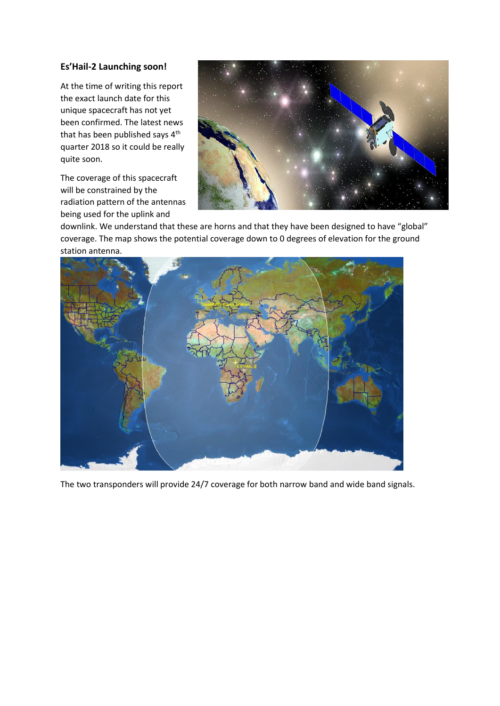# **Es'Hail-2 Launching soon!**

At the time of writing this report the exact launch date for this unique spacecraft has not yet been confirmed. The latest news that has been published says  $4<sup>th</sup>$ quarter 2018 so it could be really quite soon.

The coverage of this spacecraft will be constrained by the radiation pattern of the antennas being used for the uplink and



downlink. We understand that these are horns and that they have been designed to have "global" coverage. The map shows the potential coverage down to 0 degrees of elevation for the ground station antenna.



The two transponders will provide 24/7 coverage for both narrow band and wide band signals.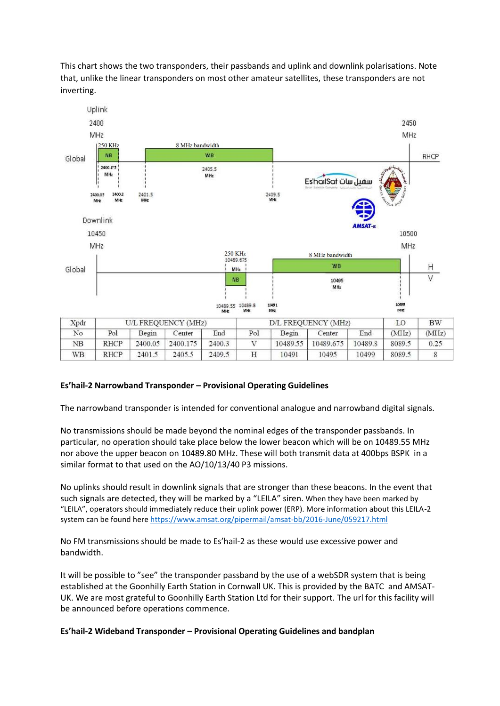This chart shows the two transponders, their passbands and uplink and downlink polarisations. Note that, unlike the linear transponders on most other amateur satellites, these transponders are not inverting.



### **Es'hail-2 Narrowband Transponder – Provisional Operating Guidelines**

The narrowband transponder is intended for conventional analogue and narrowband digital signals.

No transmissions should be made beyond the nominal edges of the transponder passbands. In particular, no operation should take place below the lower beacon which will be on 10489.55 MHz nor above the upper beacon on 10489.80 MHz. These will both transmit data at 400bps BSPK in a similar format to that used on the AO/10/13/40 P3 missions.

No uplinks should result in downlink signals that are stronger than these beacons. In the event that such signals are detected, they will be marked by a "LEILA" siren. When they have been marked by "LEILA", operators should immediately reduce their uplink power (ERP). More information about this LEILA-2 system can be found here<https://www.amsat.org/pipermail/amsat-bb/2016-June/059217.html>

No FM transmissions should be made to Es'hail-2 as these would use excessive power and bandwidth.

It will be possible to "see" the transponder passband by the use of a webSDR system that is being established at the Goonhilly Earth Station in Cornwall UK. This is provided by the BATC and AMSAT-UK. We are most grateful to Goonhilly Earth Station Ltd for their support. The url for this facility will be announced before operations commence.

#### **Es'hail-2 Wideband Transponder – Provisional Operating Guidelines and bandplan**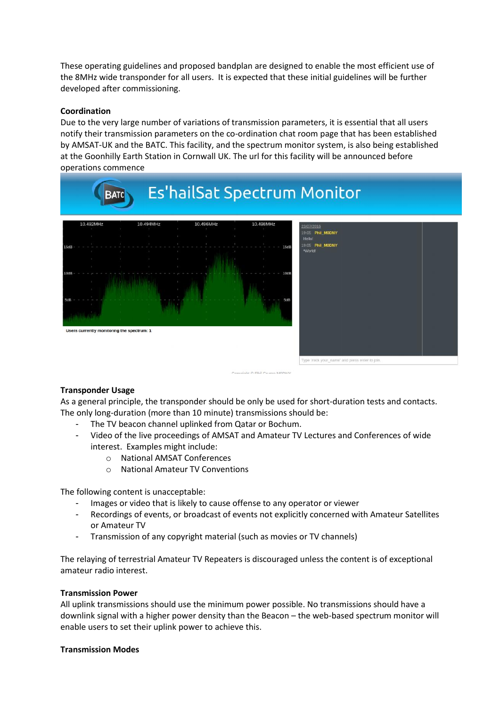These operating guidelines and proposed bandplan are designed to enable the most efficient use of the 8MHz wide transponder for all users. It is expected that these initial guidelines will be further developed after commissioning.

### **Coordination**

Due to the very large number of variations of transmission parameters, it is essential that all users notify their transmission parameters on the co-ordination chat room page that has been established by AMSAT-UK and the BATC. This facility, and the spectrum monitor system, is also being established at the Goonhilly Earth Station in Cornwall UK. The url for this facility will be announced before operations commence



### **Transponder Usage**

As a general principle, the transponder should be only be used for short-duration tests and contacts. The only long-duration (more than 10 minute) transmissions should be:

- The TV beacon channel uplinked from Qatar or Bochum.
- Video of the live proceedings of AMSAT and Amateur TV Lectures and Conferences of wide interest. Examples might include:
	- o National AMSAT Conferences
	- o National Amateur TV Conventions

The following content is unacceptable:

- Images or video that is likely to cause offense to any operator or viewer
- Recordings of events, or broadcast of events not explicitly concerned with Amateur Satellites or Amateur TV
- Transmission of any copyright material (such as movies or TV channels)

The relaying of terrestrial Amateur TV Repeaters is discouraged unless the content is of exceptional amateur radio interest.

### **Transmission Power**

All uplink transmissions should use the minimum power possible. No transmissions should have a downlink signal with a higher power density than the Beacon – the web-based spectrum monitor will enable users to set their uplink power to achieve this.

### **Transmission Modes**